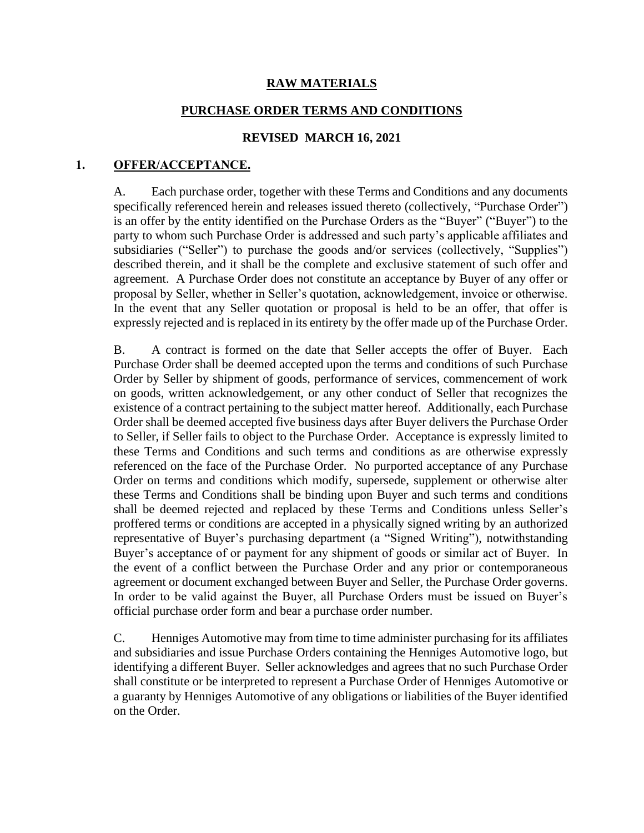### **RAW MATERIALS**

## **PURCHASE ORDER TERMS AND CONDITIONS**

### **REVISED MARCH 16, 2021**

#### **1. OFFER/ACCEPTANCE.**

A. Each purchase order, together with these Terms and Conditions and any documents specifically referenced herein and releases issued thereto (collectively, "Purchase Order") is an offer by the entity identified on the Purchase Orders as the "Buyer" ("Buyer") to the party to whom such Purchase Order is addressed and such party's applicable affiliates and subsidiaries ("Seller") to purchase the goods and/or services (collectively, "Supplies") described therein, and it shall be the complete and exclusive statement of such offer and agreement. A Purchase Order does not constitute an acceptance by Buyer of any offer or proposal by Seller, whether in Seller's quotation, acknowledgement, invoice or otherwise. In the event that any Seller quotation or proposal is held to be an offer, that offer is expressly rejected and is replaced in its entirety by the offer made up of the Purchase Order.

B. A contract is formed on the date that Seller accepts the offer of Buyer. Each Purchase Order shall be deemed accepted upon the terms and conditions of such Purchase Order by Seller by shipment of goods, performance of services, commencement of work on goods, written acknowledgement, or any other conduct of Seller that recognizes the existence of a contract pertaining to the subject matter hereof. Additionally, each Purchase Order shall be deemed accepted five business days after Buyer delivers the Purchase Order to Seller, if Seller fails to object to the Purchase Order. Acceptance is expressly limited to these Terms and Conditions and such terms and conditions as are otherwise expressly referenced on the face of the Purchase Order. No purported acceptance of any Purchase Order on terms and conditions which modify, supersede, supplement or otherwise alter these Terms and Conditions shall be binding upon Buyer and such terms and conditions shall be deemed rejected and replaced by these Terms and Conditions unless Seller's proffered terms or conditions are accepted in a physically signed writing by an authorized representative of Buyer's purchasing department (a "Signed Writing"), notwithstanding Buyer's acceptance of or payment for any shipment of goods or similar act of Buyer. In the event of a conflict between the Purchase Order and any prior or contemporaneous agreement or document exchanged between Buyer and Seller, the Purchase Order governs. In order to be valid against the Buyer, all Purchase Orders must be issued on Buyer's official purchase order form and bear a purchase order number.

C. Henniges Automotive may from time to time administer purchasing for its affiliates and subsidiaries and issue Purchase Orders containing the Henniges Automotive logo, but identifying a different Buyer. Seller acknowledges and agrees that no such Purchase Order shall constitute or be interpreted to represent a Purchase Order of Henniges Automotive or a guaranty by Henniges Automotive of any obligations or liabilities of the Buyer identified on the Order.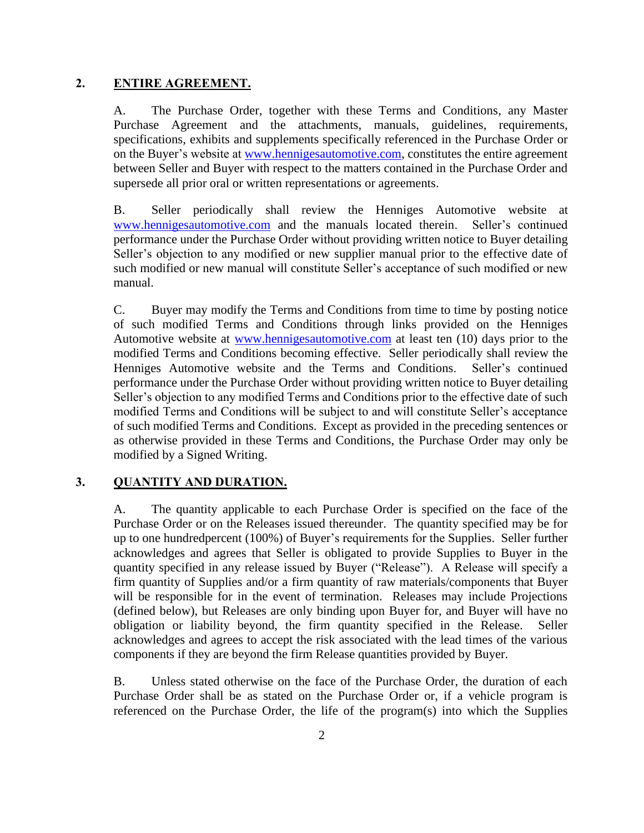### **2. ENTIRE AGREEMENT.**

A. The Purchase Order, together with these Terms and Conditions, any Master Purchase Agreement and the attachments, manuals, guidelines, requirements, specifications, exhibits and supplements specifically referenced in the Purchase Order or on the Buyer's website at www.hennigesautomotive.com, constitutes the entire agreement between Seller and Buyer with respect to the matters contained in the Purchase Order and supersede all prior oral or written representations or agreements.

B. Seller periodically shall review the Henniges Automotive website at [www.hennigesautomotive.com](http://www.hennigesautomotive.com/) and the manuals located therein. Seller's continued performance under the Purchase Order without providing written notice to Buyer detailing Seller's objection to any modified or new supplier manual prior to the effective date of such modified or new manual will constitute Seller's acceptance of such modified or new manual.

C. Buyer may modify the Terms and Conditions from time to time by posting notice of such modified Terms and Conditions through links provided on the Henniges Automotive website at [www.hennigesautomotive.com](http://www.hennigesautomotive.com/) at least ten (10) days prior to the modified Terms and Conditions becoming effective. Seller periodically shall review the Henniges Automotive website and the Terms and Conditions. Seller's continued performance under the Purchase Order without providing written notice to Buyer detailing Seller's objection to any modified Terms and Conditions prior to the effective date of such modified Terms and Conditions will be subject to and will constitute Seller's acceptance of such modified Terms and Conditions. Except as provided in the preceding sentences or as otherwise provided in these Terms and Conditions, the Purchase Order may only be modified by a Signed Writing.

#### **3. QUANTITY AND DURATION.**

A. The quantity applicable to each Purchase Order is specified on the face of the Purchase Order or on the Releases issued thereunder. The quantity specified may be for up to one hundredpercent (100%) of Buyer's requirements for the Supplies. Seller further acknowledges and agrees that Seller is obligated to provide Supplies to Buyer in the quantity specified in any release issued by Buyer ("Release"). A Release will specify a firm quantity of Supplies and/or a firm quantity of raw materials/components that Buyer will be responsible for in the event of termination. Releases may include Projections (defined below), but Releases are only binding upon Buyer for, and Buyer will have no obligation or liability beyond, the firm quantity specified in the Release. Seller acknowledges and agrees to accept the risk associated with the lead times of the various components if they are beyond the firm Release quantities provided by Buyer.

B. Unless stated otherwise on the face of the Purchase Order, the duration of each Purchase Order shall be as stated on the Purchase Order or, if a vehicle program is referenced on the Purchase Order, the life of the program(s) into which the Supplies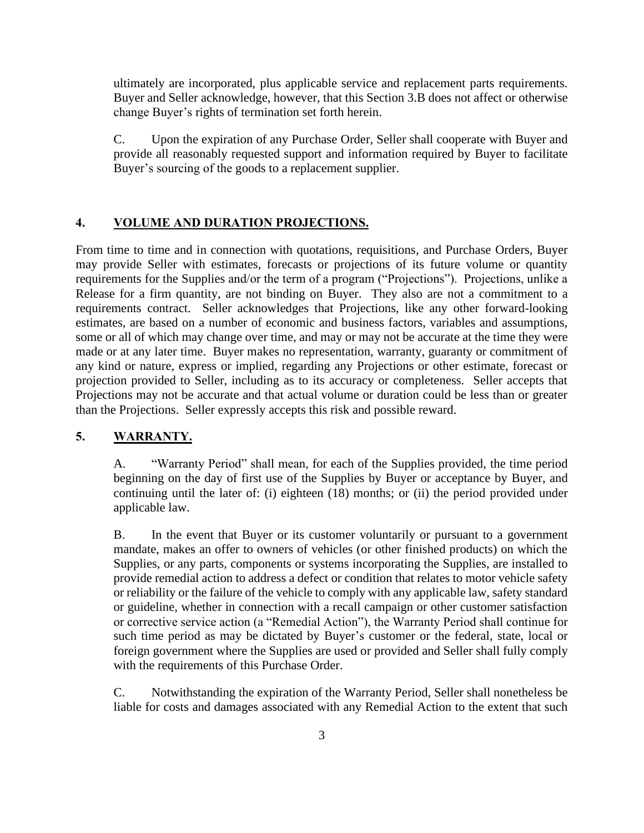ultimately are incorporated, plus applicable service and replacement parts requirements. Buyer and Seller acknowledge, however, that this Section 3.B does not affect or otherwise change Buyer's rights of termination set forth herein.

C. Upon the expiration of any Purchase Order, Seller shall cooperate with Buyer and provide all reasonably requested support and information required by Buyer to facilitate Buyer's sourcing of the goods to a replacement supplier.

#### **4. VOLUME AND DURATION PROJECTIONS.**

From time to time and in connection with quotations, requisitions, and Purchase Orders, Buyer may provide Seller with estimates, forecasts or projections of its future volume or quantity requirements for the Supplies and/or the term of a program ("Projections"). Projections, unlike a Release for a firm quantity, are not binding on Buyer. They also are not a commitment to a requirements contract. Seller acknowledges that Projections, like any other forward-looking estimates, are based on a number of economic and business factors, variables and assumptions, some or all of which may change over time, and may or may not be accurate at the time they were made or at any later time. Buyer makes no representation, warranty, guaranty or commitment of any kind or nature, express or implied, regarding any Projections or other estimate, forecast or projection provided to Seller, including as to its accuracy or completeness. Seller accepts that Projections may not be accurate and that actual volume or duration could be less than or greater than the Projections. Seller expressly accepts this risk and possible reward.

#### **5. WARRANTY.**

A. "Warranty Period" shall mean, for each of the Supplies provided, the time period beginning on the day of first use of the Supplies by Buyer or acceptance by Buyer, and continuing until the later of: (i) eighteen (18) months; or (ii) the period provided under applicable law.

B. In the event that Buyer or its customer voluntarily or pursuant to a government mandate, makes an offer to owners of vehicles (or other finished products) on which the Supplies, or any parts, components or systems incorporating the Supplies, are installed to provide remedial action to address a defect or condition that relates to motor vehicle safety or reliability or the failure of the vehicle to comply with any applicable law, safety standard or guideline, whether in connection with a recall campaign or other customer satisfaction or corrective service action (a "Remedial Action"), the Warranty Period shall continue for such time period as may be dictated by Buyer's customer or the federal, state, local or foreign government where the Supplies are used or provided and Seller shall fully comply with the requirements of this Purchase Order.

C. Notwithstanding the expiration of the Warranty Period, Seller shall nonetheless be liable for costs and damages associated with any Remedial Action to the extent that such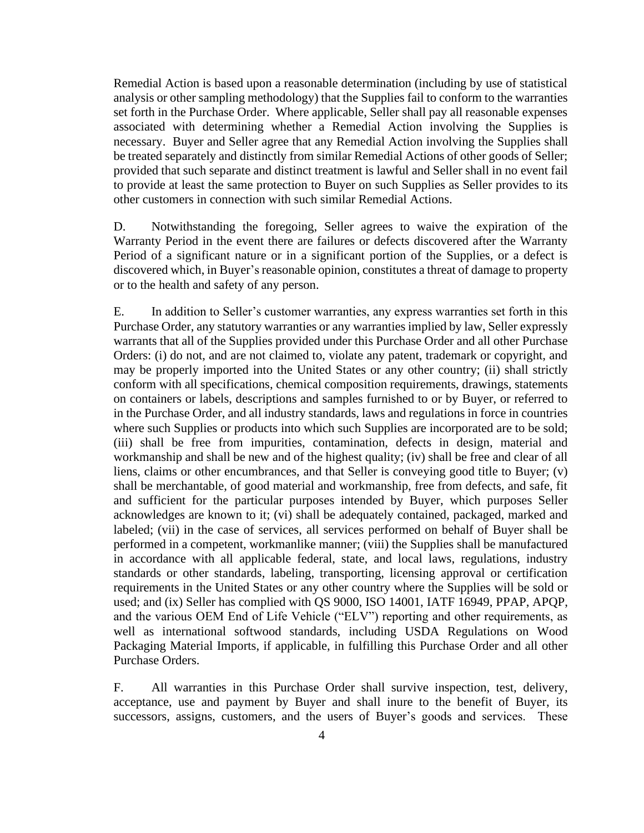Remedial Action is based upon a reasonable determination (including by use of statistical analysis or other sampling methodology) that the Supplies fail to conform to the warranties set forth in the Purchase Order. Where applicable, Seller shall pay all reasonable expenses associated with determining whether a Remedial Action involving the Supplies is necessary. Buyer and Seller agree that any Remedial Action involving the Supplies shall be treated separately and distinctly from similar Remedial Actions of other goods of Seller; provided that such separate and distinct treatment is lawful and Seller shall in no event fail to provide at least the same protection to Buyer on such Supplies as Seller provides to its other customers in connection with such similar Remedial Actions.

D. Notwithstanding the foregoing, Seller agrees to waive the expiration of the Warranty Period in the event there are failures or defects discovered after the Warranty Period of a significant nature or in a significant portion of the Supplies, or a defect is discovered which, in Buyer's reasonable opinion, constitutes a threat of damage to property or to the health and safety of any person.

E. In addition to Seller's customer warranties, any express warranties set forth in this Purchase Order, any statutory warranties or any warranties implied by law, Seller expressly warrants that all of the Supplies provided under this Purchase Order and all other Purchase Orders: (i) do not, and are not claimed to, violate any patent, trademark or copyright, and may be properly imported into the United States or any other country; (ii) shall strictly conform with all specifications, chemical composition requirements, drawings, statements on containers or labels, descriptions and samples furnished to or by Buyer, or referred to in the Purchase Order, and all industry standards, laws and regulations in force in countries where such Supplies or products into which such Supplies are incorporated are to be sold; (iii) shall be free from impurities, contamination, defects in design, material and workmanship and shall be new and of the highest quality; (iv) shall be free and clear of all liens, claims or other encumbrances, and that Seller is conveying good title to Buyer; (v) shall be merchantable, of good material and workmanship, free from defects, and safe, fit and sufficient for the particular purposes intended by Buyer, which purposes Seller acknowledges are known to it; (vi) shall be adequately contained, packaged, marked and labeled; (vii) in the case of services, all services performed on behalf of Buyer shall be performed in a competent, workmanlike manner; (viii) the Supplies shall be manufactured in accordance with all applicable federal, state, and local laws, regulations, industry standards or other standards, labeling, transporting, licensing approval or certification requirements in the United States or any other country where the Supplies will be sold or used; and (ix) Seller has complied with QS 9000, ISO 14001, IATF 16949, PPAP, APQP, and the various OEM End of Life Vehicle ("ELV") reporting and other requirements, as well as international softwood standards, including USDA Regulations on Wood Packaging Material Imports, if applicable, in fulfilling this Purchase Order and all other Purchase Orders.

F. All warranties in this Purchase Order shall survive inspection, test, delivery, acceptance, use and payment by Buyer and shall inure to the benefit of Buyer, its successors, assigns, customers, and the users of Buyer's goods and services. These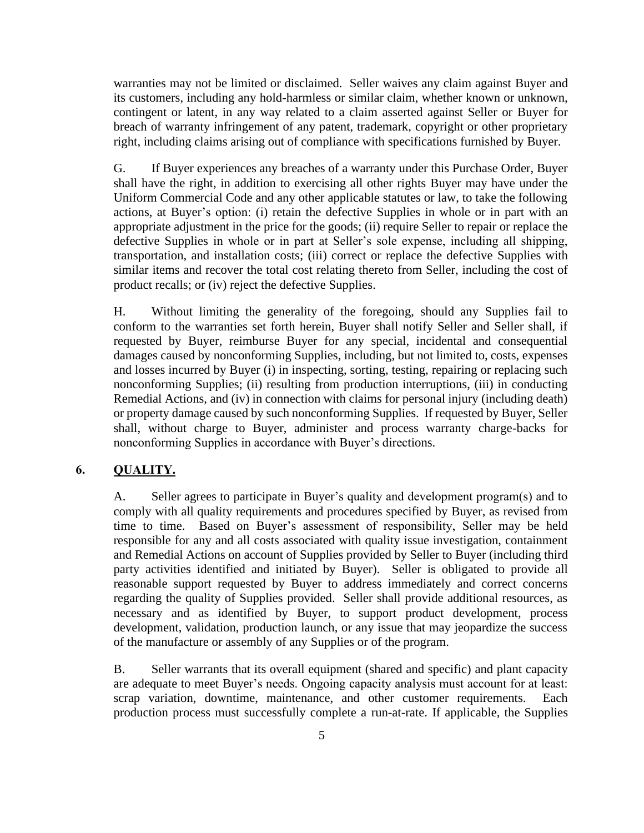warranties may not be limited or disclaimed. Seller waives any claim against Buyer and its customers, including any hold-harmless or similar claim, whether known or unknown, contingent or latent, in any way related to a claim asserted against Seller or Buyer for breach of warranty infringement of any patent, trademark, copyright or other proprietary right, including claims arising out of compliance with specifications furnished by Buyer.

G. If Buyer experiences any breaches of a warranty under this Purchase Order, Buyer shall have the right, in addition to exercising all other rights Buyer may have under the Uniform Commercial Code and any other applicable statutes or law, to take the following actions, at Buyer's option: (i) retain the defective Supplies in whole or in part with an appropriate adjustment in the price for the goods; (ii) require Seller to repair or replace the defective Supplies in whole or in part at Seller's sole expense, including all shipping, transportation, and installation costs; (iii) correct or replace the defective Supplies with similar items and recover the total cost relating thereto from Seller, including the cost of product recalls; or (iv) reject the defective Supplies.

H. Without limiting the generality of the foregoing, should any Supplies fail to conform to the warranties set forth herein, Buyer shall notify Seller and Seller shall, if requested by Buyer, reimburse Buyer for any special, incidental and consequential damages caused by nonconforming Supplies, including, but not limited to, costs, expenses and losses incurred by Buyer (i) in inspecting, sorting, testing, repairing or replacing such nonconforming Supplies; (ii) resulting from production interruptions, (iii) in conducting Remedial Actions, and (iv) in connection with claims for personal injury (including death) or property damage caused by such nonconforming Supplies. If requested by Buyer, Seller shall, without charge to Buyer, administer and process warranty charge-backs for nonconforming Supplies in accordance with Buyer's directions.

## **6. QUALITY.**

A. Seller agrees to participate in Buyer's quality and development program(s) and to comply with all quality requirements and procedures specified by Buyer, as revised from time to time. Based on Buyer's assessment of responsibility, Seller may be held responsible for any and all costs associated with quality issue investigation, containment and Remedial Actions on account of Supplies provided by Seller to Buyer (including third party activities identified and initiated by Buyer). Seller is obligated to provide all reasonable support requested by Buyer to address immediately and correct concerns regarding the quality of Supplies provided. Seller shall provide additional resources, as necessary and as identified by Buyer, to support product development, process development, validation, production launch, or any issue that may jeopardize the success of the manufacture or assembly of any Supplies or of the program.

B. Seller warrants that its overall equipment (shared and specific) and plant capacity are adequate to meet Buyer's needs. Ongoing capacity analysis must account for at least: scrap variation, downtime, maintenance, and other customer requirements. Each production process must successfully complete a run-at-rate. If applicable, the Supplies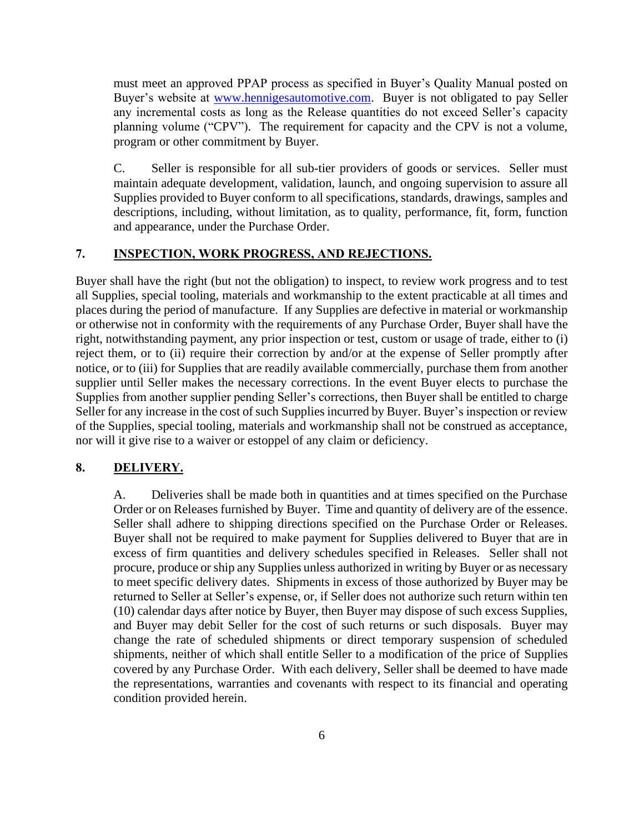must meet an approved PPAP process as specified in Buyer's Quality Manual posted on Buyer's website at www.hennigesautomotive.com. Buyer is not obligated to pay Seller any incremental costs as long as the Release quantities do not exceed Seller's capacity planning volume ("CPV"). The requirement for capacity and the CPV is not a volume, program or other commitment by Buyer.

C. Seller is responsible for all sub-tier providers of goods or services. Seller must maintain adequate development, validation, launch, and ongoing supervision to assure all Supplies provided to Buyer conform to all specifications, standards, drawings, samples and descriptions, including, without limitation, as to quality, performance, fit, form, function and appearance, under the Purchase Order.

### **7. INSPECTION, WORK PROGRESS, AND REJECTIONS.**

Buyer shall have the right (but not the obligation) to inspect, to review work progress and to test all Supplies, special tooling, materials and workmanship to the extent practicable at all times and places during the period of manufacture. If any Supplies are defective in material or workmanship or otherwise not in conformity with the requirements of any Purchase Order, Buyer shall have the right, notwithstanding payment, any prior inspection or test, custom or usage of trade, either to (i) reject them, or to (ii) require their correction by and/or at the expense of Seller promptly after notice, or to (iii) for Supplies that are readily available commercially, purchase them from another supplier until Seller makes the necessary corrections. In the event Buyer elects to purchase the Supplies from another supplier pending Seller's corrections, then Buyer shall be entitled to charge Seller for any increase in the cost of such Supplies incurred by Buyer. Buyer's inspection or review of the Supplies, special tooling, materials and workmanship shall not be construed as acceptance, nor will it give rise to a waiver or estoppel of any claim or deficiency.

#### **8. DELIVERY.**

A. Deliveries shall be made both in quantities and at times specified on the Purchase Order or on Releases furnished by Buyer. Time and quantity of delivery are of the essence. Seller shall adhere to shipping directions specified on the Purchase Order or Releases. Buyer shall not be required to make payment for Supplies delivered to Buyer that are in excess of firm quantities and delivery schedules specified in Releases. Seller shall not procure, produce or ship any Supplies unless authorized in writing by Buyer or as necessary to meet specific delivery dates. Shipments in excess of those authorized by Buyer may be returned to Seller at Seller's expense, or, if Seller does not authorize such return within ten (10) calendar days after notice by Buyer, then Buyer may dispose of such excess Supplies, and Buyer may debit Seller for the cost of such returns or such disposals. Buyer may change the rate of scheduled shipments or direct temporary suspension of scheduled shipments, neither of which shall entitle Seller to a modification of the price of Supplies covered by any Purchase Order. With each delivery, Seller shall be deemed to have made the representations, warranties and covenants with respect to its financial and operating condition provided herein.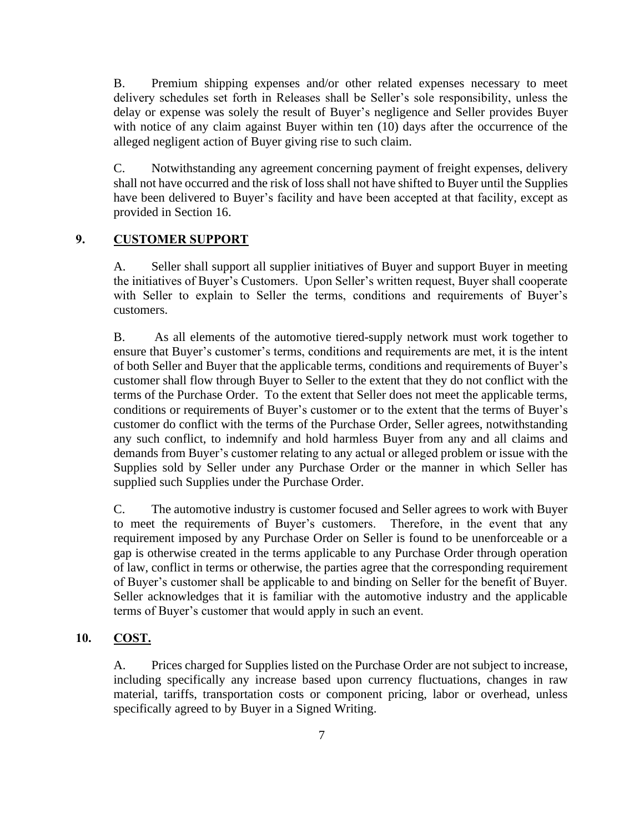B. Premium shipping expenses and/or other related expenses necessary to meet delivery schedules set forth in Releases shall be Seller's sole responsibility, unless the delay or expense was solely the result of Buyer's negligence and Seller provides Buyer with notice of any claim against Buyer within ten (10) days after the occurrence of the alleged negligent action of Buyer giving rise to such claim.

C. Notwithstanding any agreement concerning payment of freight expenses, delivery shall not have occurred and the risk of loss shall not have shifted to Buyer until the Supplies have been delivered to Buyer's facility and have been accepted at that facility, except as provided in Section 16.

## **9. CUSTOMER SUPPORT**

A. Seller shall support all supplier initiatives of Buyer and support Buyer in meeting the initiatives of Buyer's Customers. Upon Seller's written request, Buyer shall cooperate with Seller to explain to Seller the terms, conditions and requirements of Buyer's customers.

B. As all elements of the automotive tiered-supply network must work together to ensure that Buyer's customer's terms, conditions and requirements are met, it is the intent of both Seller and Buyer that the applicable terms, conditions and requirements of Buyer's customer shall flow through Buyer to Seller to the extent that they do not conflict with the terms of the Purchase Order. To the extent that Seller does not meet the applicable terms, conditions or requirements of Buyer's customer or to the extent that the terms of Buyer's customer do conflict with the terms of the Purchase Order, Seller agrees, notwithstanding any such conflict, to indemnify and hold harmless Buyer from any and all claims and demands from Buyer's customer relating to any actual or alleged problem or issue with the Supplies sold by Seller under any Purchase Order or the manner in which Seller has supplied such Supplies under the Purchase Order.

C. The automotive industry is customer focused and Seller agrees to work with Buyer to meet the requirements of Buyer's customers. Therefore, in the event that any requirement imposed by any Purchase Order on Seller is found to be unenforceable or a gap is otherwise created in the terms applicable to any Purchase Order through operation of law, conflict in terms or otherwise, the parties agree that the corresponding requirement of Buyer's customer shall be applicable to and binding on Seller for the benefit of Buyer. Seller acknowledges that it is familiar with the automotive industry and the applicable terms of Buyer's customer that would apply in such an event.

### **10. COST.**

A. Prices charged for Supplies listed on the Purchase Order are not subject to increase, including specifically any increase based upon currency fluctuations, changes in raw material, tariffs, transportation costs or component pricing, labor or overhead, unless specifically agreed to by Buyer in a Signed Writing.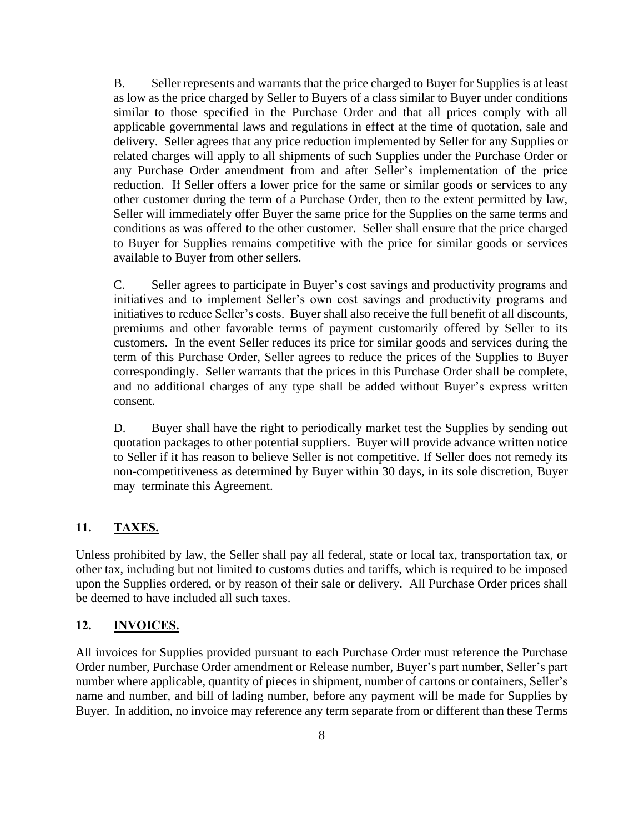B. Seller represents and warrants that the price charged to Buyer for Supplies is at least as low as the price charged by Seller to Buyers of a class similar to Buyer under conditions similar to those specified in the Purchase Order and that all prices comply with all applicable governmental laws and regulations in effect at the time of quotation, sale and delivery. Seller agrees that any price reduction implemented by Seller for any Supplies or related charges will apply to all shipments of such Supplies under the Purchase Order or any Purchase Order amendment from and after Seller's implementation of the price reduction. If Seller offers a lower price for the same or similar goods or services to any other customer during the term of a Purchase Order, then to the extent permitted by law, Seller will immediately offer Buyer the same price for the Supplies on the same terms and conditions as was offered to the other customer. Seller shall ensure that the price charged to Buyer for Supplies remains competitive with the price for similar goods or services available to Buyer from other sellers.

C. Seller agrees to participate in Buyer's cost savings and productivity programs and initiatives and to implement Seller's own cost savings and productivity programs and initiatives to reduce Seller's costs. Buyer shall also receive the full benefit of all discounts, premiums and other favorable terms of payment customarily offered by Seller to its customers. In the event Seller reduces its price for similar goods and services during the term of this Purchase Order, Seller agrees to reduce the prices of the Supplies to Buyer correspondingly. Seller warrants that the prices in this Purchase Order shall be complete, and no additional charges of any type shall be added without Buyer's express written consent.

D. Buyer shall have the right to periodically market test the Supplies by sending out quotation packages to other potential suppliers. Buyer will provide advance written notice to Seller if it has reason to believe Seller is not competitive. If Seller does not remedy its non-competitiveness as determined by Buyer within 30 days, in its sole discretion, Buyer may terminate this Agreement.

## **11. TAXES.**

Unless prohibited by law, the Seller shall pay all federal, state or local tax, transportation tax, or other tax, including but not limited to customs duties and tariffs, which is required to be imposed upon the Supplies ordered, or by reason of their sale or delivery. All Purchase Order prices shall be deemed to have included all such taxes.

### **12. INVOICES.**

All invoices for Supplies provided pursuant to each Purchase Order must reference the Purchase Order number, Purchase Order amendment or Release number, Buyer's part number, Seller's part number where applicable, quantity of pieces in shipment, number of cartons or containers, Seller's name and number, and bill of lading number, before any payment will be made for Supplies by Buyer. In addition, no invoice may reference any term separate from or different than these Terms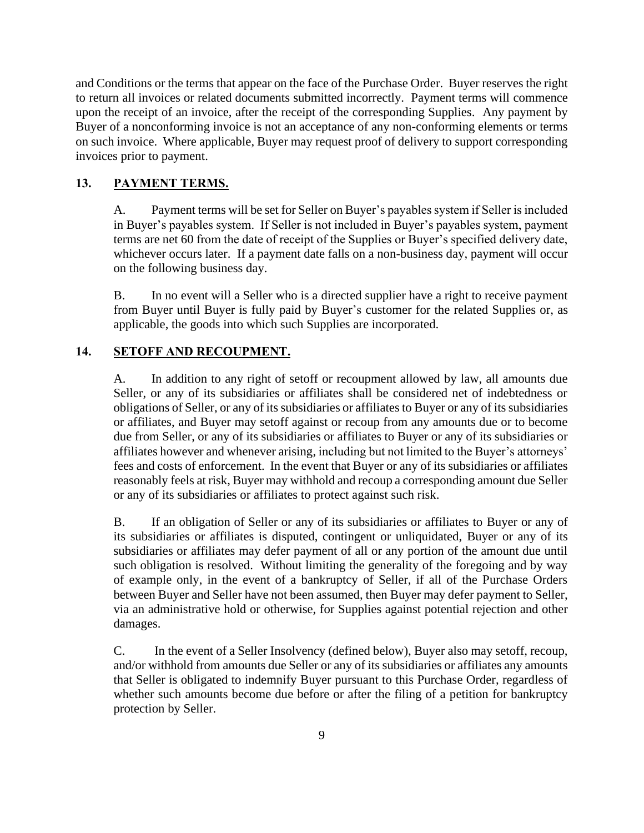and Conditions or the terms that appear on the face of the Purchase Order. Buyer reserves the right to return all invoices or related documents submitted incorrectly. Payment terms will commence upon the receipt of an invoice, after the receipt of the corresponding Supplies. Any payment by Buyer of a nonconforming invoice is not an acceptance of any non-conforming elements or terms on such invoice. Where applicable, Buyer may request proof of delivery to support corresponding invoices prior to payment.

# **13. PAYMENT TERMS.**

A. Payment terms will be set for Seller on Buyer's payables system if Seller is included in Buyer's payables system. If Seller is not included in Buyer's payables system, payment terms are net 60 from the date of receipt of the Supplies or Buyer's specified delivery date, whichever occurs later. If a payment date falls on a non-business day, payment will occur on the following business day.

B. In no event will a Seller who is a directed supplier have a right to receive payment from Buyer until Buyer is fully paid by Buyer's customer for the related Supplies or, as applicable, the goods into which such Supplies are incorporated.

# **14. SETOFF AND RECOUPMENT.**

A. In addition to any right of setoff or recoupment allowed by law, all amounts due Seller, or any of its subsidiaries or affiliates shall be considered net of indebtedness or obligations of Seller, or any of its subsidiaries or affiliates to Buyer or any of its subsidiaries or affiliates, and Buyer may setoff against or recoup from any amounts due or to become due from Seller, or any of its subsidiaries or affiliates to Buyer or any of its subsidiaries or affiliates however and whenever arising, including but not limited to the Buyer's attorneys' fees and costs of enforcement. In the event that Buyer or any of its subsidiaries or affiliates reasonably feels at risk, Buyer may withhold and recoup a corresponding amount due Seller or any of its subsidiaries or affiliates to protect against such risk.

B. If an obligation of Seller or any of its subsidiaries or affiliates to Buyer or any of its subsidiaries or affiliates is disputed, contingent or unliquidated, Buyer or any of its subsidiaries or affiliates may defer payment of all or any portion of the amount due until such obligation is resolved. Without limiting the generality of the foregoing and by way of example only, in the event of a bankruptcy of Seller, if all of the Purchase Orders between Buyer and Seller have not been assumed, then Buyer may defer payment to Seller, via an administrative hold or otherwise, for Supplies against potential rejection and other damages.

C. In the event of a Seller Insolvency (defined below), Buyer also may setoff, recoup, and/or withhold from amounts due Seller or any of its subsidiaries or affiliates any amounts that Seller is obligated to indemnify Buyer pursuant to this Purchase Order, regardless of whether such amounts become due before or after the filing of a petition for bankruptcy protection by Seller.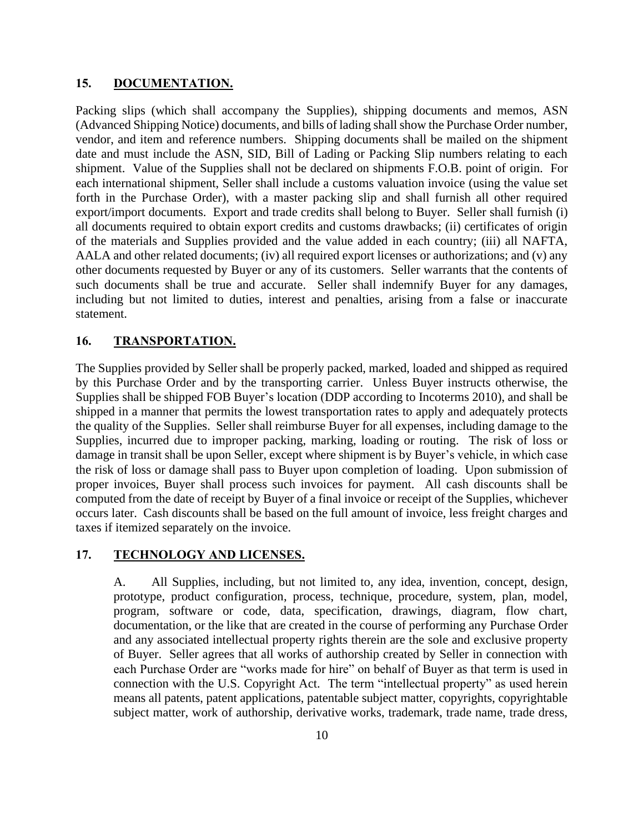#### **15. DOCUMENTATION.**

Packing slips (which shall accompany the Supplies), shipping documents and memos, ASN (Advanced Shipping Notice) documents, and bills of lading shall show the Purchase Order number, vendor, and item and reference numbers. Shipping documents shall be mailed on the shipment date and must include the ASN, SID, Bill of Lading or Packing Slip numbers relating to each shipment. Value of the Supplies shall not be declared on shipments F.O.B. point of origin. For each international shipment, Seller shall include a customs valuation invoice (using the value set forth in the Purchase Order), with a master packing slip and shall furnish all other required export/import documents. Export and trade credits shall belong to Buyer. Seller shall furnish (i) all documents required to obtain export credits and customs drawbacks; (ii) certificates of origin of the materials and Supplies provided and the value added in each country; (iii) all NAFTA, AALA and other related documents; (iv) all required export licenses or authorizations; and (v) any other documents requested by Buyer or any of its customers. Seller warrants that the contents of such documents shall be true and accurate. Seller shall indemnify Buyer for any damages, including but not limited to duties, interest and penalties, arising from a false or inaccurate statement.

#### **16. TRANSPORTATION.**

The Supplies provided by Seller shall be properly packed, marked, loaded and shipped as required by this Purchase Order and by the transporting carrier. Unless Buyer instructs otherwise, the Supplies shall be shipped FOB Buyer's location (DDP according to Incoterms 2010), and shall be shipped in a manner that permits the lowest transportation rates to apply and adequately protects the quality of the Supplies. Seller shall reimburse Buyer for all expenses, including damage to the Supplies, incurred due to improper packing, marking, loading or routing. The risk of loss or damage in transit shall be upon Seller, except where shipment is by Buyer's vehicle, in which case the risk of loss or damage shall pass to Buyer upon completion of loading. Upon submission of proper invoices, Buyer shall process such invoices for payment. All cash discounts shall be computed from the date of receipt by Buyer of a final invoice or receipt of the Supplies, whichever occurs later. Cash discounts shall be based on the full amount of invoice, less freight charges and taxes if itemized separately on the invoice.

#### **17. TECHNOLOGY AND LICENSES.**

A. All Supplies, including, but not limited to, any idea, invention, concept, design, prototype, product configuration, process, technique, procedure, system, plan, model, program, software or code, data, specification, drawings, diagram, flow chart, documentation, or the like that are created in the course of performing any Purchase Order and any associated intellectual property rights therein are the sole and exclusive property of Buyer. Seller agrees that all works of authorship created by Seller in connection with each Purchase Order are "works made for hire" on behalf of Buyer as that term is used in connection with the U.S. Copyright Act. The term "intellectual property" as used herein means all patents, patent applications, patentable subject matter, copyrights, copyrightable subject matter, work of authorship, derivative works, trademark, trade name, trade dress,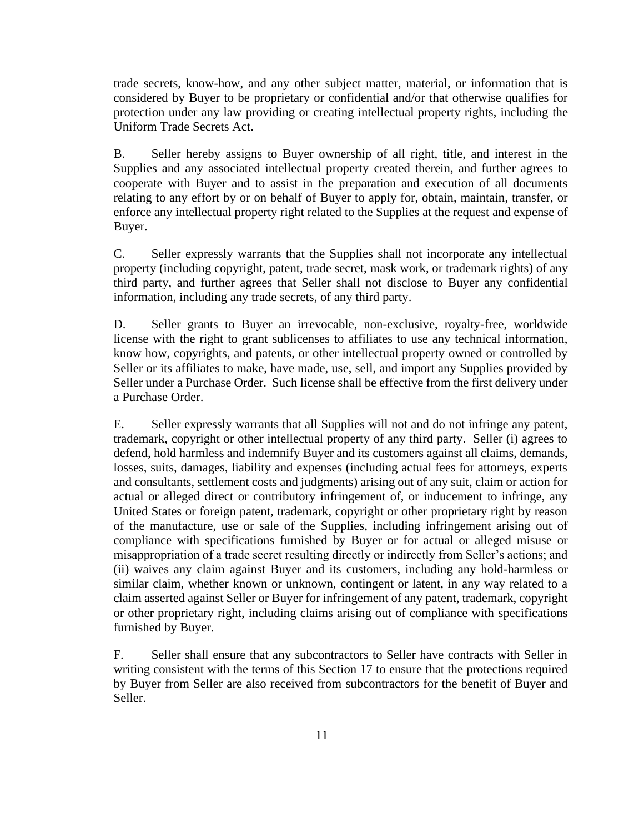trade secrets, know-how, and any other subject matter, material, or information that is considered by Buyer to be proprietary or confidential and/or that otherwise qualifies for protection under any law providing or creating intellectual property rights, including the Uniform Trade Secrets Act.

B. Seller hereby assigns to Buyer ownership of all right, title, and interest in the Supplies and any associated intellectual property created therein, and further agrees to cooperate with Buyer and to assist in the preparation and execution of all documents relating to any effort by or on behalf of Buyer to apply for, obtain, maintain, transfer, or enforce any intellectual property right related to the Supplies at the request and expense of Buyer.

C. Seller expressly warrants that the Supplies shall not incorporate any intellectual property (including copyright, patent, trade secret, mask work, or trademark rights) of any third party, and further agrees that Seller shall not disclose to Buyer any confidential information, including any trade secrets, of any third party.

D. Seller grants to Buyer an irrevocable, non-exclusive, royalty-free, worldwide license with the right to grant sublicenses to affiliates to use any technical information, know how, copyrights, and patents, or other intellectual property owned or controlled by Seller or its affiliates to make, have made, use, sell, and import any Supplies provided by Seller under a Purchase Order. Such license shall be effective from the first delivery under a Purchase Order.

E. Seller expressly warrants that all Supplies will not and do not infringe any patent, trademark, copyright or other intellectual property of any third party. Seller (i) agrees to defend, hold harmless and indemnify Buyer and its customers against all claims, demands, losses, suits, damages, liability and expenses (including actual fees for attorneys, experts and consultants, settlement costs and judgments) arising out of any suit, claim or action for actual or alleged direct or contributory infringement of, or inducement to infringe, any United States or foreign patent, trademark, copyright or other proprietary right by reason of the manufacture, use or sale of the Supplies, including infringement arising out of compliance with specifications furnished by Buyer or for actual or alleged misuse or misappropriation of a trade secret resulting directly or indirectly from Seller's actions; and (ii) waives any claim against Buyer and its customers, including any hold-harmless or similar claim, whether known or unknown, contingent or latent, in any way related to a claim asserted against Seller or Buyer for infringement of any patent, trademark, copyright or other proprietary right, including claims arising out of compliance with specifications furnished by Buyer.

F. Seller shall ensure that any subcontractors to Seller have contracts with Seller in writing consistent with the terms of this Section 17 to ensure that the protections required by Buyer from Seller are also received from subcontractors for the benefit of Buyer and Seller.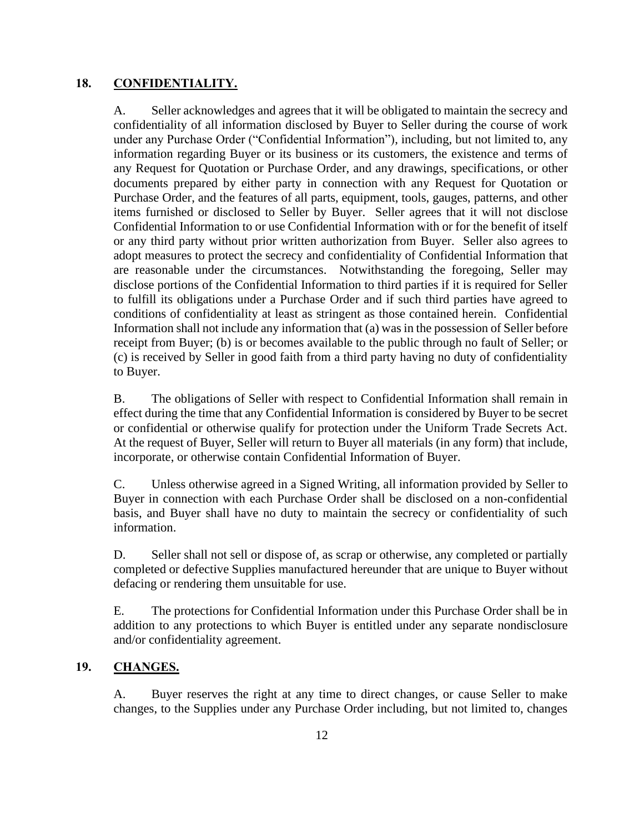#### **18. CONFIDENTIALITY.**

A. Seller acknowledges and agrees that it will be obligated to maintain the secrecy and confidentiality of all information disclosed by Buyer to Seller during the course of work under any Purchase Order ("Confidential Information"), including, but not limited to, any information regarding Buyer or its business or its customers, the existence and terms of any Request for Quotation or Purchase Order, and any drawings, specifications, or other documents prepared by either party in connection with any Request for Quotation or Purchase Order, and the features of all parts, equipment, tools, gauges, patterns, and other items furnished or disclosed to Seller by Buyer. Seller agrees that it will not disclose Confidential Information to or use Confidential Information with or for the benefit of itself or any third party without prior written authorization from Buyer. Seller also agrees to adopt measures to protect the secrecy and confidentiality of Confidential Information that are reasonable under the circumstances. Notwithstanding the foregoing, Seller may disclose portions of the Confidential Information to third parties if it is required for Seller to fulfill its obligations under a Purchase Order and if such third parties have agreed to conditions of confidentiality at least as stringent as those contained herein. Confidential Information shall not include any information that (a) was in the possession of Seller before receipt from Buyer; (b) is or becomes available to the public through no fault of Seller; or (c) is received by Seller in good faith from a third party having no duty of confidentiality to Buyer.

B. The obligations of Seller with respect to Confidential Information shall remain in effect during the time that any Confidential Information is considered by Buyer to be secret or confidential or otherwise qualify for protection under the Uniform Trade Secrets Act. At the request of Buyer, Seller will return to Buyer all materials (in any form) that include, incorporate, or otherwise contain Confidential Information of Buyer.

C. Unless otherwise agreed in a Signed Writing, all information provided by Seller to Buyer in connection with each Purchase Order shall be disclosed on a non-confidential basis, and Buyer shall have no duty to maintain the secrecy or confidentiality of such information.

D. Seller shall not sell or dispose of, as scrap or otherwise, any completed or partially completed or defective Supplies manufactured hereunder that are unique to Buyer without defacing or rendering them unsuitable for use.

E. The protections for Confidential Information under this Purchase Order shall be in addition to any protections to which Buyer is entitled under any separate nondisclosure and/or confidentiality agreement.

## **19. CHANGES.**

A. Buyer reserves the right at any time to direct changes, or cause Seller to make changes, to the Supplies under any Purchase Order including, but not limited to, changes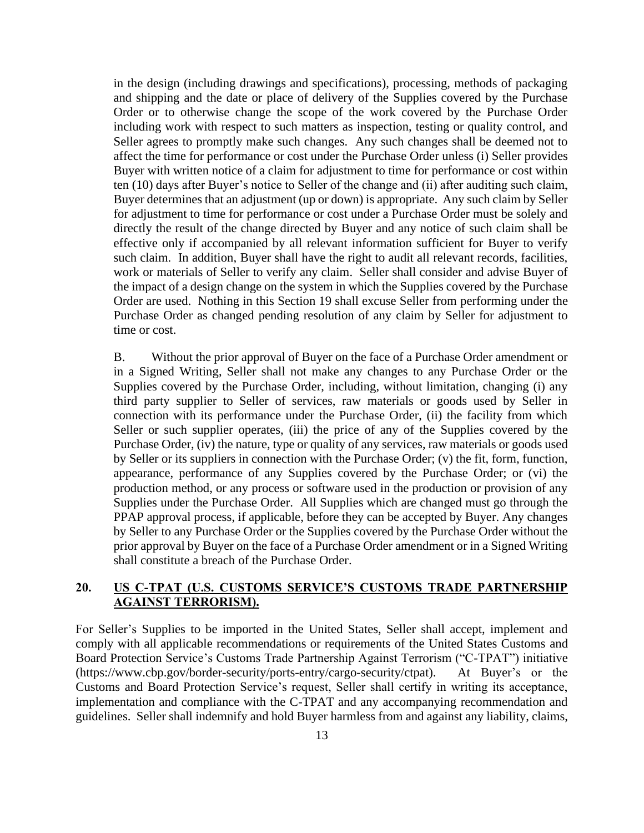in the design (including drawings and specifications), processing, methods of packaging and shipping and the date or place of delivery of the Supplies covered by the Purchase Order or to otherwise change the scope of the work covered by the Purchase Order including work with respect to such matters as inspection, testing or quality control, and Seller agrees to promptly make such changes. Any such changes shall be deemed not to affect the time for performance or cost under the Purchase Order unless (i) Seller provides Buyer with written notice of a claim for adjustment to time for performance or cost within ten (10) days after Buyer's notice to Seller of the change and (ii) after auditing such claim, Buyer determines that an adjustment (up or down) is appropriate. Any such claim by Seller for adjustment to time for performance or cost under a Purchase Order must be solely and directly the result of the change directed by Buyer and any notice of such claim shall be effective only if accompanied by all relevant information sufficient for Buyer to verify such claim. In addition, Buyer shall have the right to audit all relevant records, facilities, work or materials of Seller to verify any claim. Seller shall consider and advise Buyer of the impact of a design change on the system in which the Supplies covered by the Purchase Order are used. Nothing in this Section 19 shall excuse Seller from performing under the Purchase Order as changed pending resolution of any claim by Seller for adjustment to time or cost.

B. Without the prior approval of Buyer on the face of a Purchase Order amendment or in a Signed Writing, Seller shall not make any changes to any Purchase Order or the Supplies covered by the Purchase Order, including, without limitation, changing (i) any third party supplier to Seller of services, raw materials or goods used by Seller in connection with its performance under the Purchase Order, (ii) the facility from which Seller or such supplier operates, (iii) the price of any of the Supplies covered by the Purchase Order, (iv) the nature, type or quality of any services, raw materials or goods used by Seller or its suppliers in connection with the Purchase Order; (v) the fit, form, function, appearance, performance of any Supplies covered by the Purchase Order; or (vi) the production method, or any process or software used in the production or provision of any Supplies under the Purchase Order. All Supplies which are changed must go through the PPAP approval process, if applicable, before they can be accepted by Buyer. Any changes by Seller to any Purchase Order or the Supplies covered by the Purchase Order without the prior approval by Buyer on the face of a Purchase Order amendment or in a Signed Writing shall constitute a breach of the Purchase Order.

### **20. US C-TPAT (U.S. CUSTOMS SERVICE'S CUSTOMS TRADE PARTNERSHIP AGAINST TERRORISM).**

For Seller's Supplies to be imported in the United States, Seller shall accept, implement and comply with all applicable recommendations or requirements of the United States Customs and Board Protection Service's Customs Trade Partnership Against Terrorism ("C-TPAT") initiative (https://www.cbp.gov/border-security/ports-entry/cargo-security/ctpat). At Buyer's or the Customs and Board Protection Service's request, Seller shall certify in writing its acceptance, implementation and compliance with the C-TPAT and any accompanying recommendation and guidelines. Seller shall indemnify and hold Buyer harmless from and against any liability, claims,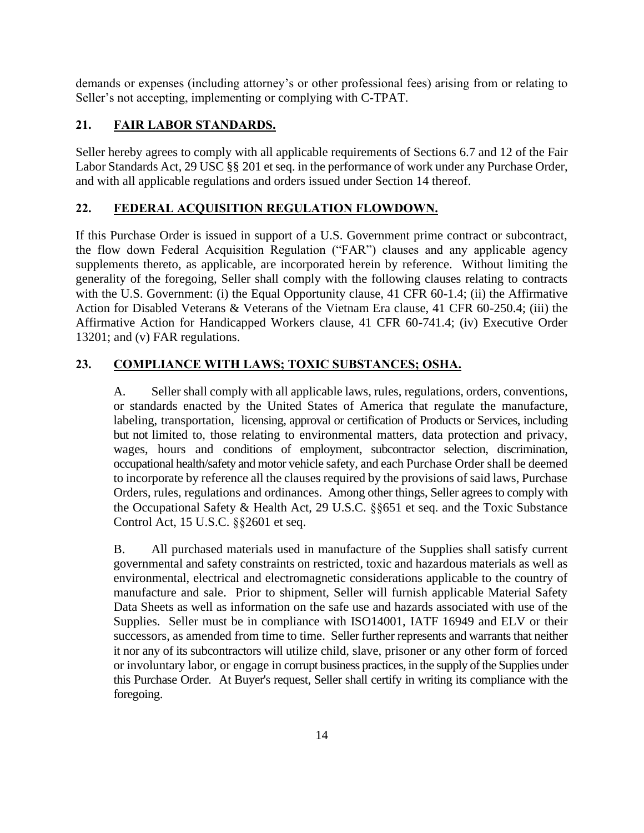demands or expenses (including attorney's or other professional fees) arising from or relating to Seller's not accepting, implementing or complying with C-TPAT.

# **21. FAIR LABOR STANDARDS.**

Seller hereby agrees to comply with all applicable requirements of Sections 6.7 and 12 of the Fair Labor Standards Act, 29 USC §§ 201 et seq. in the performance of work under any Purchase Order, and with all applicable regulations and orders issued under Section 14 thereof.

## **22. FEDERAL ACQUISITION REGULATION FLOWDOWN.**

If this Purchase Order is issued in support of a U.S. Government prime contract or subcontract, the flow down Federal Acquisition Regulation ("FAR") clauses and any applicable agency supplements thereto, as applicable, are incorporated herein by reference. Without limiting the generality of the foregoing, Seller shall comply with the following clauses relating to contracts with the U.S. Government: (i) the Equal Opportunity clause, 41 CFR 60-1.4; (ii) the Affirmative Action for Disabled Veterans & Veterans of the Vietnam Era clause, 41 CFR 60-250.4; (iii) the Affirmative Action for Handicapped Workers clause, 41 CFR 60-741.4; (iv) Executive Order 13201; and (v) FAR regulations.

# **23. COMPLIANCE WITH LAWS; TOXIC SUBSTANCES; OSHA.**

A. Seller shall comply with all applicable laws, rules, regulations, orders, conventions, or standards enacted by the United States of America that regulate the manufacture, labeling, transportation, licensing, approval or certification of Products or Services, including but not limited to, those relating to environmental matters, data protection and privacy, wages, hours and conditions of employment, subcontractor selection, discrimination, occupational health/safety and motor vehicle safety, and each Purchase Order shall be deemed to incorporate by reference all the clauses required by the provisions of said laws, Purchase Orders, rules, regulations and ordinances. Among other things, Seller agrees to comply with the Occupational Safety & Health Act, 29 U.S.C. §§651 et seq. and the Toxic Substance Control Act, 15 U.S.C. §§2601 et seq.

B. All purchased materials used in manufacture of the Supplies shall satisfy current governmental and safety constraints on restricted, toxic and hazardous materials as well as environmental, electrical and electromagnetic considerations applicable to the country of manufacture and sale. Prior to shipment, Seller will furnish applicable Material Safety Data Sheets as well as information on the safe use and hazards associated with use of the Supplies. Seller must be in compliance with ISO14001, IATF 16949 and ELV or their successors, as amended from time to time. Seller further represents and warrants that neither it nor any of its subcontractors will utilize child, slave, prisoner or any other form of forced or involuntary labor, or engage in corrupt business practices, in the supply of the Supplies under this Purchase Order. At Buyer's request, Seller shall certify in writing its compliance with the foregoing.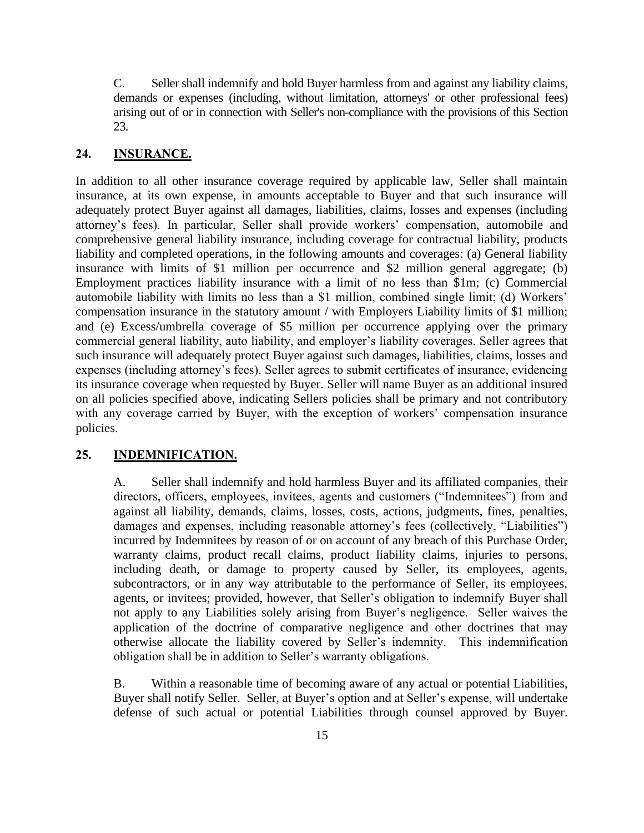C. Seller shall indemnify and hold Buyer harmless from and against any liability claims, demands or expenses (including, without limitation, attorneys' or other professional fees) arising out of or in connection with Seller's non-compliance with the provisions of this Section 23.

#### **24. INSURANCE.**

In addition to all other insurance coverage required by applicable law, Seller shall maintain insurance, at its own expense, in amounts acceptable to Buyer and that such insurance will adequately protect Buyer against all damages, liabilities, claims, losses and expenses (including attorney's fees). In particular, Seller shall provide workers' compensation, automobile and comprehensive general liability insurance, including coverage for contractual liability, products liability and completed operations, in the following amounts and coverages: (a) General liability insurance with limits of \$1 million per occurrence and \$2 million general aggregate; (b) Employment practices liability insurance with a limit of no less than \$1m; (c) Commercial automobile liability with limits no less than a \$1 million, combined single limit; (d) Workers' compensation insurance in the statutory amount / with Employers Liability limits of \$1 million; and (e) Excess/umbrella coverage of \$5 million per occurrence applying over the primary commercial general liability, auto liability, and employer's liability coverages. Seller agrees that such insurance will adequately protect Buyer against such damages, liabilities, claims, losses and expenses (including attorney's fees). Seller agrees to submit certificates of insurance, evidencing its insurance coverage when requested by Buyer. Seller will name Buyer as an additional insured on all policies specified above, indicating Sellers policies shall be primary and not contributory with any coverage carried by Buyer, with the exception of workers' compensation insurance policies.

## **25. INDEMNIFICATION.**

A. Seller shall indemnify and hold harmless Buyer and its affiliated companies, their directors, officers, employees, invitees, agents and customers ("Indemnitees") from and against all liability, demands, claims, losses, costs, actions, judgments, fines, penalties, damages and expenses, including reasonable attorney's fees (collectively, "Liabilities") incurred by Indemnitees by reason of or on account of any breach of this Purchase Order, warranty claims, product recall claims, product liability claims, injuries to persons, including death, or damage to property caused by Seller, its employees, agents, subcontractors, or in any way attributable to the performance of Seller, its employees, agents, or invitees; provided, however, that Seller's obligation to indemnify Buyer shall not apply to any Liabilities solely arising from Buyer's negligence. Seller waives the application of the doctrine of comparative negligence and other doctrines that may otherwise allocate the liability covered by Seller's indemnity. This indemnification obligation shall be in addition to Seller's warranty obligations.

B. Within a reasonable time of becoming aware of any actual or potential Liabilities, Buyer shall notify Seller. Seller, at Buyer's option and at Seller's expense, will undertake defense of such actual or potential Liabilities through counsel approved by Buyer.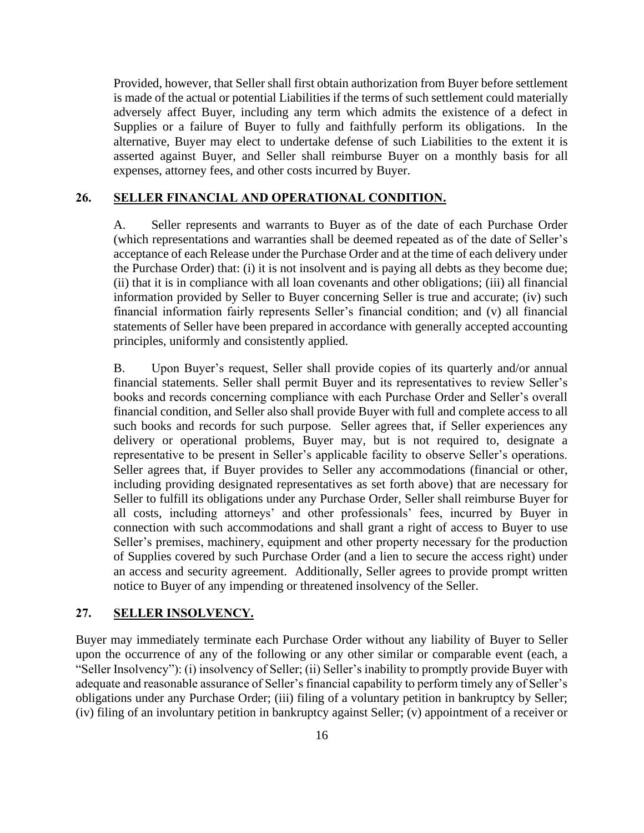Provided, however, that Seller shall first obtain authorization from Buyer before settlement is made of the actual or potential Liabilities if the terms of such settlement could materially adversely affect Buyer, including any term which admits the existence of a defect in Supplies or a failure of Buyer to fully and faithfully perform its obligations. In the alternative, Buyer may elect to undertake defense of such Liabilities to the extent it is asserted against Buyer, and Seller shall reimburse Buyer on a monthly basis for all expenses, attorney fees, and other costs incurred by Buyer.

### **26. SELLER FINANCIAL AND OPERATIONAL CONDITION.**

A. Seller represents and warrants to Buyer as of the date of each Purchase Order (which representations and warranties shall be deemed repeated as of the date of Seller's acceptance of each Release under the Purchase Order and at the time of each delivery under the Purchase Order) that: (i) it is not insolvent and is paying all debts as they become due; (ii) that it is in compliance with all loan covenants and other obligations; (iii) all financial information provided by Seller to Buyer concerning Seller is true and accurate; (iv) such financial information fairly represents Seller's financial condition; and (v) all financial statements of Seller have been prepared in accordance with generally accepted accounting principles, uniformly and consistently applied.

B. Upon Buyer's request, Seller shall provide copies of its quarterly and/or annual financial statements. Seller shall permit Buyer and its representatives to review Seller's books and records concerning compliance with each Purchase Order and Seller's overall financial condition, and Seller also shall provide Buyer with full and complete access to all such books and records for such purpose. Seller agrees that, if Seller experiences any delivery or operational problems, Buyer may, but is not required to, designate a representative to be present in Seller's applicable facility to observe Seller's operations. Seller agrees that, if Buyer provides to Seller any accommodations (financial or other, including providing designated representatives as set forth above) that are necessary for Seller to fulfill its obligations under any Purchase Order, Seller shall reimburse Buyer for all costs, including attorneys' and other professionals' fees, incurred by Buyer in connection with such accommodations and shall grant a right of access to Buyer to use Seller's premises, machinery, equipment and other property necessary for the production of Supplies covered by such Purchase Order (and a lien to secure the access right) under an access and security agreement. Additionally, Seller agrees to provide prompt written notice to Buyer of any impending or threatened insolvency of the Seller.

#### **27. SELLER INSOLVENCY.**

Buyer may immediately terminate each Purchase Order without any liability of Buyer to Seller upon the occurrence of any of the following or any other similar or comparable event (each, a "Seller Insolvency"): (i) insolvency of Seller; (ii) Seller's inability to promptly provide Buyer with adequate and reasonable assurance of Seller's financial capability to perform timely any of Seller's obligations under any Purchase Order; (iii) filing of a voluntary petition in bankruptcy by Seller; (iv) filing of an involuntary petition in bankruptcy against Seller; (v) appointment of a receiver or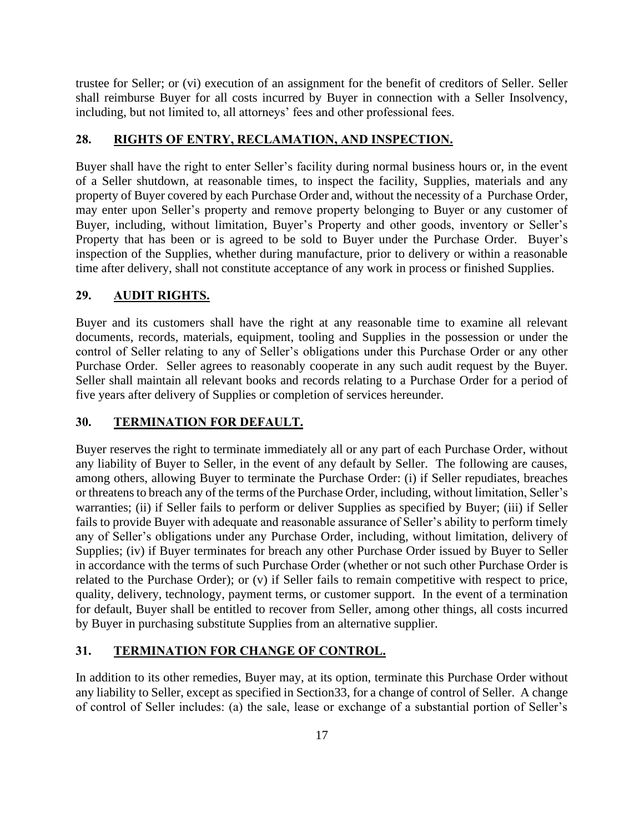trustee for Seller; or (vi) execution of an assignment for the benefit of creditors of Seller. Seller shall reimburse Buyer for all costs incurred by Buyer in connection with a Seller Insolvency, including, but not limited to, all attorneys' fees and other professional fees.

## **28. RIGHTS OF ENTRY, RECLAMATION, AND INSPECTION.**

Buyer shall have the right to enter Seller's facility during normal business hours or, in the event of a Seller shutdown, at reasonable times, to inspect the facility, Supplies, materials and any property of Buyer covered by each Purchase Order and, without the necessity of a Purchase Order, may enter upon Seller's property and remove property belonging to Buyer or any customer of Buyer, including, without limitation, Buyer's Property and other goods, inventory or Seller's Property that has been or is agreed to be sold to Buyer under the Purchase Order. Buyer's inspection of the Supplies, whether during manufacture, prior to delivery or within a reasonable time after delivery, shall not constitute acceptance of any work in process or finished Supplies.

## **29. AUDIT RIGHTS.**

Buyer and its customers shall have the right at any reasonable time to examine all relevant documents, records, materials, equipment, tooling and Supplies in the possession or under the control of Seller relating to any of Seller's obligations under this Purchase Order or any other Purchase Order. Seller agrees to reasonably cooperate in any such audit request by the Buyer. Seller shall maintain all relevant books and records relating to a Purchase Order for a period of five years after delivery of Supplies or completion of services hereunder.

### **30. TERMINATION FOR DEFAULT.**

Buyer reserves the right to terminate immediately all or any part of each Purchase Order, without any liability of Buyer to Seller, in the event of any default by Seller. The following are causes, among others, allowing Buyer to terminate the Purchase Order: (i) if Seller repudiates, breaches or threatens to breach any of the terms of the Purchase Order, including, without limitation, Seller's warranties; (ii) if Seller fails to perform or deliver Supplies as specified by Buyer; (iii) if Seller fails to provide Buyer with adequate and reasonable assurance of Seller's ability to perform timely any of Seller's obligations under any Purchase Order, including, without limitation, delivery of Supplies; (iv) if Buyer terminates for breach any other Purchase Order issued by Buyer to Seller in accordance with the terms of such Purchase Order (whether or not such other Purchase Order is related to the Purchase Order); or (v) if Seller fails to remain competitive with respect to price, quality, delivery, technology, payment terms, or customer support. In the event of a termination for default, Buyer shall be entitled to recover from Seller, among other things, all costs incurred by Buyer in purchasing substitute Supplies from an alternative supplier.

## **31. TERMINATION FOR CHANGE OF CONTROL.**

In addition to its other remedies, Buyer may, at its option, terminate this Purchase Order without any liability to Seller, except as specified in Section33, for a change of control of Seller. A change of control of Seller includes: (a) the sale, lease or exchange of a substantial portion of Seller's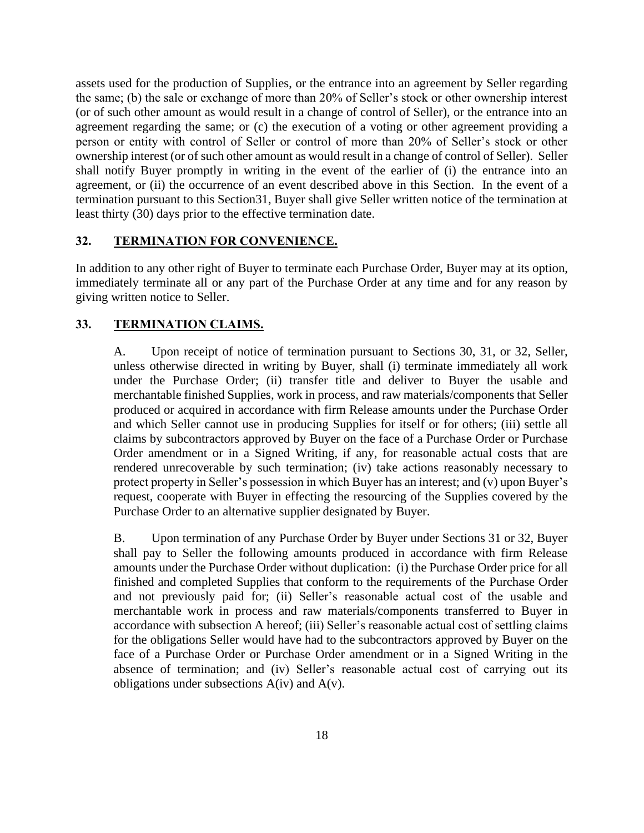assets used for the production of Supplies, or the entrance into an agreement by Seller regarding the same; (b) the sale or exchange of more than 20% of Seller's stock or other ownership interest (or of such other amount as would result in a change of control of Seller), or the entrance into an agreement regarding the same; or (c) the execution of a voting or other agreement providing a person or entity with control of Seller or control of more than 20% of Seller's stock or other ownership interest (or of such other amount as would result in a change of control of Seller). Seller shall notify Buyer promptly in writing in the event of the earlier of (i) the entrance into an agreement, or (ii) the occurrence of an event described above in this Section. In the event of a termination pursuant to this Section31, Buyer shall give Seller written notice of the termination at least thirty (30) days prior to the effective termination date.

#### **32. TERMINATION FOR CONVENIENCE.**

In addition to any other right of Buyer to terminate each Purchase Order, Buyer may at its option, immediately terminate all or any part of the Purchase Order at any time and for any reason by giving written notice to Seller.

#### **33. TERMINATION CLAIMS.**

A. Upon receipt of notice of termination pursuant to Sections 30, 31, or 32, Seller, unless otherwise directed in writing by Buyer, shall (i) terminate immediately all work under the Purchase Order; (ii) transfer title and deliver to Buyer the usable and merchantable finished Supplies, work in process, and raw materials/components that Seller produced or acquired in accordance with firm Release amounts under the Purchase Order and which Seller cannot use in producing Supplies for itself or for others; (iii) settle all claims by subcontractors approved by Buyer on the face of a Purchase Order or Purchase Order amendment or in a Signed Writing, if any, for reasonable actual costs that are rendered unrecoverable by such termination; (iv) take actions reasonably necessary to protect property in Seller's possession in which Buyer has an interest; and (v) upon Buyer's request, cooperate with Buyer in effecting the resourcing of the Supplies covered by the Purchase Order to an alternative supplier designated by Buyer.

B. Upon termination of any Purchase Order by Buyer under Sections 31 or 32, Buyer shall pay to Seller the following amounts produced in accordance with firm Release amounts under the Purchase Order without duplication: (i) the Purchase Order price for all finished and completed Supplies that conform to the requirements of the Purchase Order and not previously paid for; (ii) Seller's reasonable actual cost of the usable and merchantable work in process and raw materials/components transferred to Buyer in accordance with subsection A hereof; (iii) Seller's reasonable actual cost of settling claims for the obligations Seller would have had to the subcontractors approved by Buyer on the face of a Purchase Order or Purchase Order amendment or in a Signed Writing in the absence of termination; and (iv) Seller's reasonable actual cost of carrying out its obligations under subsections  $A(iv)$  and  $A(v)$ .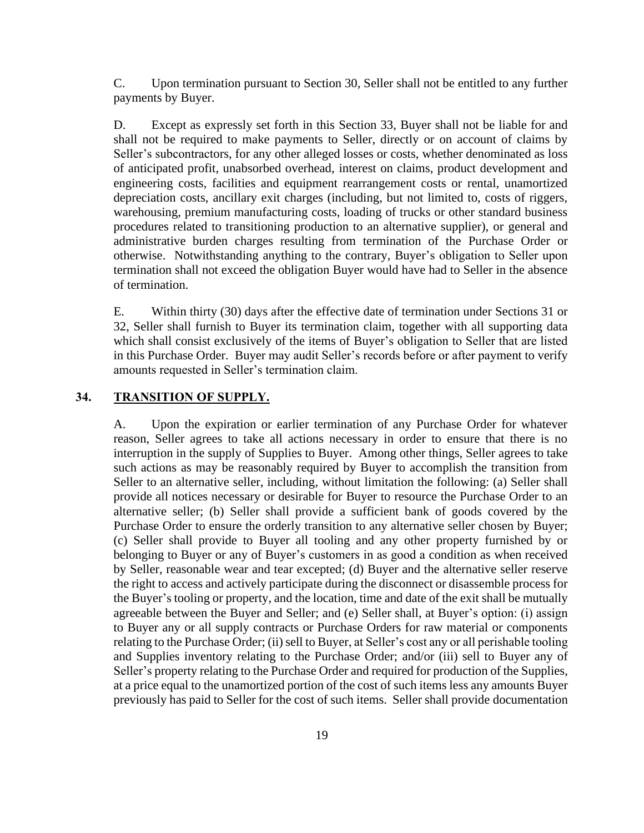C. Upon termination pursuant to Section 30, Seller shall not be entitled to any further payments by Buyer.

D. Except as expressly set forth in this Section 33, Buyer shall not be liable for and shall not be required to make payments to Seller, directly or on account of claims by Seller's subcontractors, for any other alleged losses or costs, whether denominated as loss of anticipated profit, unabsorbed overhead, interest on claims, product development and engineering costs, facilities and equipment rearrangement costs or rental, unamortized depreciation costs, ancillary exit charges (including, but not limited to, costs of riggers, warehousing, premium manufacturing costs, loading of trucks or other standard business procedures related to transitioning production to an alternative supplier), or general and administrative burden charges resulting from termination of the Purchase Order or otherwise. Notwithstanding anything to the contrary, Buyer's obligation to Seller upon termination shall not exceed the obligation Buyer would have had to Seller in the absence of termination.

E. Within thirty (30) days after the effective date of termination under Sections 31 or 32, Seller shall furnish to Buyer its termination claim, together with all supporting data which shall consist exclusively of the items of Buyer's obligation to Seller that are listed in this Purchase Order. Buyer may audit Seller's records before or after payment to verify amounts requested in Seller's termination claim.

#### **34. TRANSITION OF SUPPLY.**

A. Upon the expiration or earlier termination of any Purchase Order for whatever reason, Seller agrees to take all actions necessary in order to ensure that there is no interruption in the supply of Supplies to Buyer. Among other things, Seller agrees to take such actions as may be reasonably required by Buyer to accomplish the transition from Seller to an alternative seller, including, without limitation the following: (a) Seller shall provide all notices necessary or desirable for Buyer to resource the Purchase Order to an alternative seller; (b) Seller shall provide a sufficient bank of goods covered by the Purchase Order to ensure the orderly transition to any alternative seller chosen by Buyer; (c) Seller shall provide to Buyer all tooling and any other property furnished by or belonging to Buyer or any of Buyer's customers in as good a condition as when received by Seller, reasonable wear and tear excepted; (d) Buyer and the alternative seller reserve the right to access and actively participate during the disconnect or disassemble process for the Buyer's tooling or property, and the location, time and date of the exit shall be mutually agreeable between the Buyer and Seller; and (e) Seller shall, at Buyer's option: (i) assign to Buyer any or all supply contracts or Purchase Orders for raw material or components relating to the Purchase Order; (ii) sell to Buyer, at Seller's cost any or all perishable tooling and Supplies inventory relating to the Purchase Order; and/or (iii) sell to Buyer any of Seller's property relating to the Purchase Order and required for production of the Supplies, at a price equal to the unamortized portion of the cost of such items less any amounts Buyer previously has paid to Seller for the cost of such items. Seller shall provide documentation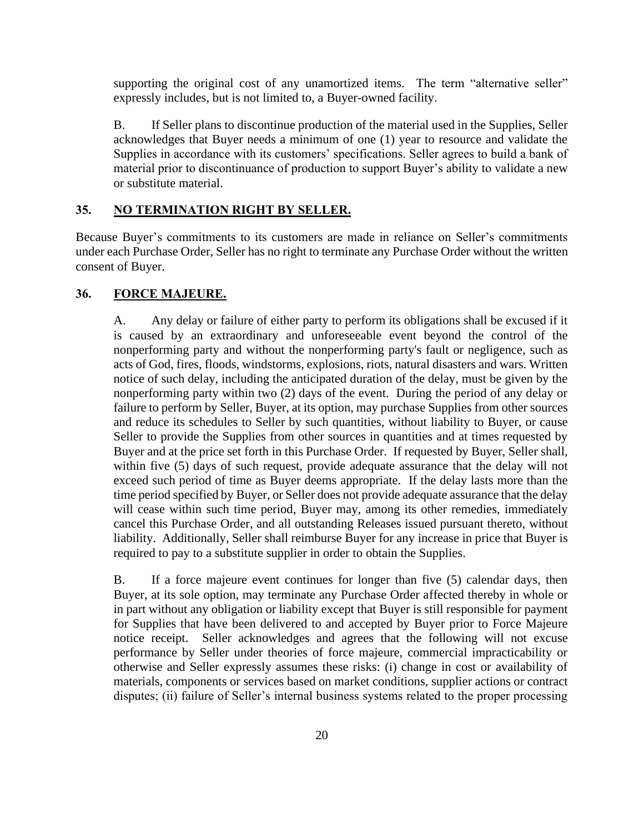supporting the original cost of any unamortized items. The term "alternative seller" expressly includes, but is not limited to, a Buyer-owned facility.

B. If Seller plans to discontinue production of the material used in the Supplies, Seller acknowledges that Buyer needs a minimum of one (1) year to resource and validate the Supplies in accordance with its customers' specifications. Seller agrees to build a bank of material prior to discontinuance of production to support Buyer's ability to validate a new or substitute material.

## **35. NO TERMINATION RIGHT BY SELLER.**

Because Buyer's commitments to its customers are made in reliance on Seller's commitments under each Purchase Order, Seller has no right to terminate any Purchase Order without the written consent of Buyer.

#### **36. FORCE MAJEURE.**

A. Any delay or failure of either party to perform its obligations shall be excused if it is caused by an extraordinary and unforeseeable event beyond the control of the nonperforming party and without the nonperforming party's fault or negligence, such as acts of God, fires, floods, windstorms, explosions, riots, natural disasters and wars. Written notice of such delay, including the anticipated duration of the delay, must be given by the nonperforming party within two (2) days of the event. During the period of any delay or failure to perform by Seller, Buyer, at its option, may purchase Supplies from other sources and reduce its schedules to Seller by such quantities, without liability to Buyer, or cause Seller to provide the Supplies from other sources in quantities and at times requested by Buyer and at the price set forth in this Purchase Order. If requested by Buyer, Seller shall, within five (5) days of such request, provide adequate assurance that the delay will not exceed such period of time as Buyer deems appropriate. If the delay lasts more than the time period specified by Buyer, or Seller does not provide adequate assurance that the delay will cease within such time period, Buyer may, among its other remedies, immediately cancel this Purchase Order, and all outstanding Releases issued pursuant thereto, without liability. Additionally, Seller shall reimburse Buyer for any increase in price that Buyer is required to pay to a substitute supplier in order to obtain the Supplies.

B. If a force majeure event continues for longer than five (5) calendar days, then Buyer, at its sole option, may terminate any Purchase Order affected thereby in whole or in part without any obligation or liability except that Buyer is still responsible for payment for Supplies that have been delivered to and accepted by Buyer prior to Force Majeure notice receipt. Seller acknowledges and agrees that the following will not excuse performance by Seller under theories of force majeure, commercial impracticability or otherwise and Seller expressly assumes these risks: (i) change in cost or availability of materials, components or services based on market conditions, supplier actions or contract disputes; (ii) failure of Seller's internal business systems related to the proper processing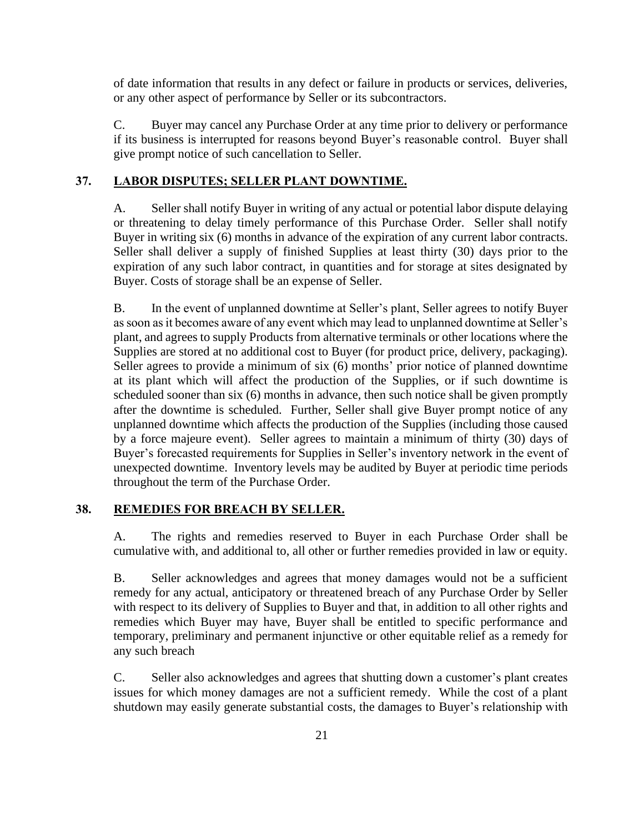of date information that results in any defect or failure in products or services, deliveries, or any other aspect of performance by Seller or its subcontractors.

C. Buyer may cancel any Purchase Order at any time prior to delivery or performance if its business is interrupted for reasons beyond Buyer's reasonable control. Buyer shall give prompt notice of such cancellation to Seller.

#### **37. LABOR DISPUTES; SELLER PLANT DOWNTIME.**

A. Seller shall notify Buyer in writing of any actual or potential labor dispute delaying or threatening to delay timely performance of this Purchase Order. Seller shall notify Buyer in writing six (6) months in advance of the expiration of any current labor contracts. Seller shall deliver a supply of finished Supplies at least thirty (30) days prior to the expiration of any such labor contract, in quantities and for storage at sites designated by Buyer. Costs of storage shall be an expense of Seller.

B. In the event of unplanned downtime at Seller's plant, Seller agrees to notify Buyer as soon as it becomes aware of any event which may lead to unplanned downtime at Seller's plant, and agrees to supply Products from alternative terminals or other locations where the Supplies are stored at no additional cost to Buyer (for product price, delivery, packaging). Seller agrees to provide a minimum of six (6) months' prior notice of planned downtime at its plant which will affect the production of the Supplies, or if such downtime is scheduled sooner than six (6) months in advance, then such notice shall be given promptly after the downtime is scheduled. Further, Seller shall give Buyer prompt notice of any unplanned downtime which affects the production of the Supplies (including those caused by a force majeure event). Seller agrees to maintain a minimum of thirty (30) days of Buyer's forecasted requirements for Supplies in Seller's inventory network in the event of unexpected downtime. Inventory levels may be audited by Buyer at periodic time periods throughout the term of the Purchase Order.

## **38. REMEDIES FOR BREACH BY SELLER.**

A. The rights and remedies reserved to Buyer in each Purchase Order shall be cumulative with, and additional to, all other or further remedies provided in law or equity.

B. Seller acknowledges and agrees that money damages would not be a sufficient remedy for any actual, anticipatory or threatened breach of any Purchase Order by Seller with respect to its delivery of Supplies to Buyer and that, in addition to all other rights and remedies which Buyer may have, Buyer shall be entitled to specific performance and temporary, preliminary and permanent injunctive or other equitable relief as a remedy for any such breach

C. Seller also acknowledges and agrees that shutting down a customer's plant creates issues for which money damages are not a sufficient remedy. While the cost of a plant shutdown may easily generate substantial costs, the damages to Buyer's relationship with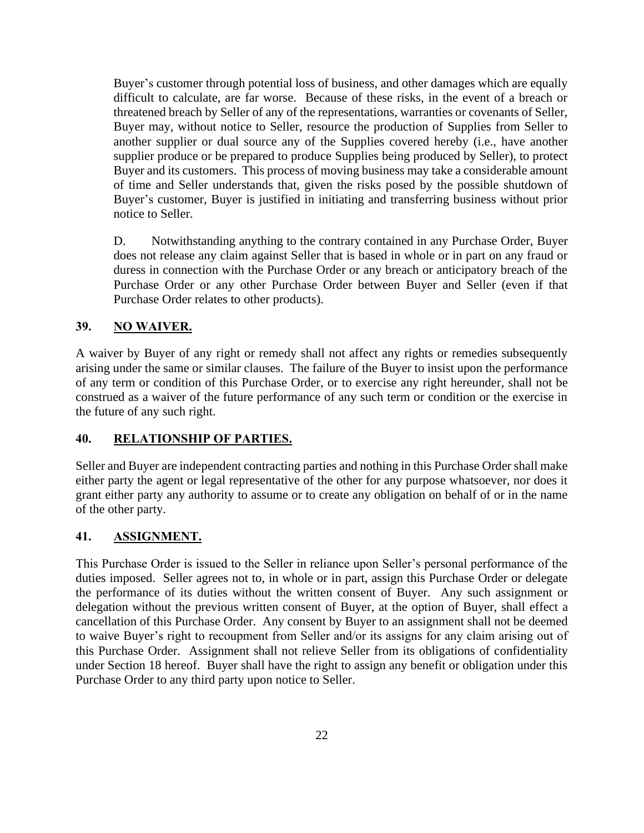Buyer's customer through potential loss of business, and other damages which are equally difficult to calculate, are far worse. Because of these risks, in the event of a breach or threatened breach by Seller of any of the representations, warranties or covenants of Seller, Buyer may, without notice to Seller, resource the production of Supplies from Seller to another supplier or dual source any of the Supplies covered hereby (i.e., have another supplier produce or be prepared to produce Supplies being produced by Seller), to protect Buyer and its customers. This process of moving business may take a considerable amount of time and Seller understands that, given the risks posed by the possible shutdown of Buyer's customer, Buyer is justified in initiating and transferring business without prior notice to Seller.

D. Notwithstanding anything to the contrary contained in any Purchase Order, Buyer does not release any claim against Seller that is based in whole or in part on any fraud or duress in connection with the Purchase Order or any breach or anticipatory breach of the Purchase Order or any other Purchase Order between Buyer and Seller (even if that Purchase Order relates to other products).

### **39. NO WAIVER.**

A waiver by Buyer of any right or remedy shall not affect any rights or remedies subsequently arising under the same or similar clauses. The failure of the Buyer to insist upon the performance of any term or condition of this Purchase Order, or to exercise any right hereunder, shall not be construed as a waiver of the future performance of any such term or condition or the exercise in the future of any such right.

### **40. RELATIONSHIP OF PARTIES.**

Seller and Buyer are independent contracting parties and nothing in this Purchase Order shall make either party the agent or legal representative of the other for any purpose whatsoever, nor does it grant either party any authority to assume or to create any obligation on behalf of or in the name of the other party.

### **41. ASSIGNMENT.**

This Purchase Order is issued to the Seller in reliance upon Seller's personal performance of the duties imposed. Seller agrees not to, in whole or in part, assign this Purchase Order or delegate the performance of its duties without the written consent of Buyer. Any such assignment or delegation without the previous written consent of Buyer, at the option of Buyer, shall effect a cancellation of this Purchase Order. Any consent by Buyer to an assignment shall not be deemed to waive Buyer's right to recoupment from Seller and/or its assigns for any claim arising out of this Purchase Order. Assignment shall not relieve Seller from its obligations of confidentiality under Section 18 hereof. Buyer shall have the right to assign any benefit or obligation under this Purchase Order to any third party upon notice to Seller.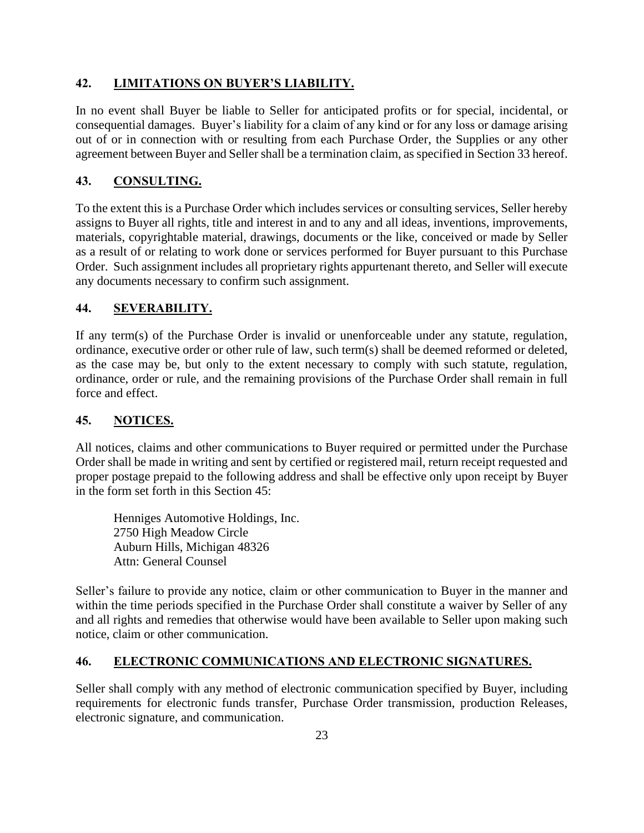## **42. LIMITATIONS ON BUYER'S LIABILITY.**

In no event shall Buyer be liable to Seller for anticipated profits or for special, incidental, or consequential damages. Buyer's liability for a claim of any kind or for any loss or damage arising out of or in connection with or resulting from each Purchase Order, the Supplies or any other agreement between Buyer and Seller shall be a termination claim, as specified in Section 33 hereof.

## **43. CONSULTING.**

To the extent this is a Purchase Order which includes services or consulting services, Seller hereby assigns to Buyer all rights, title and interest in and to any and all ideas, inventions, improvements, materials, copyrightable material, drawings, documents or the like, conceived or made by Seller as a result of or relating to work done or services performed for Buyer pursuant to this Purchase Order. Such assignment includes all proprietary rights appurtenant thereto, and Seller will execute any documents necessary to confirm such assignment.

### **44. SEVERABILITY.**

If any term(s) of the Purchase Order is invalid or unenforceable under any statute, regulation, ordinance, executive order or other rule of law, such term(s) shall be deemed reformed or deleted, as the case may be, but only to the extent necessary to comply with such statute, regulation, ordinance, order or rule, and the remaining provisions of the Purchase Order shall remain in full force and effect.

## **45. NOTICES.**

All notices, claims and other communications to Buyer required or permitted under the Purchase Order shall be made in writing and sent by certified or registered mail, return receipt requested and proper postage prepaid to the following address and shall be effective only upon receipt by Buyer in the form set forth in this Section 45:

Henniges Automotive Holdings, Inc. 2750 High Meadow Circle Auburn Hills, Michigan 48326 Attn: General Counsel

Seller's failure to provide any notice, claim or other communication to Buyer in the manner and within the time periods specified in the Purchase Order shall constitute a waiver by Seller of any and all rights and remedies that otherwise would have been available to Seller upon making such notice, claim or other communication.

### **46. ELECTRONIC COMMUNICATIONS AND ELECTRONIC SIGNATURES.**

Seller shall comply with any method of electronic communication specified by Buyer, including requirements for electronic funds transfer, Purchase Order transmission, production Releases, electronic signature, and communication.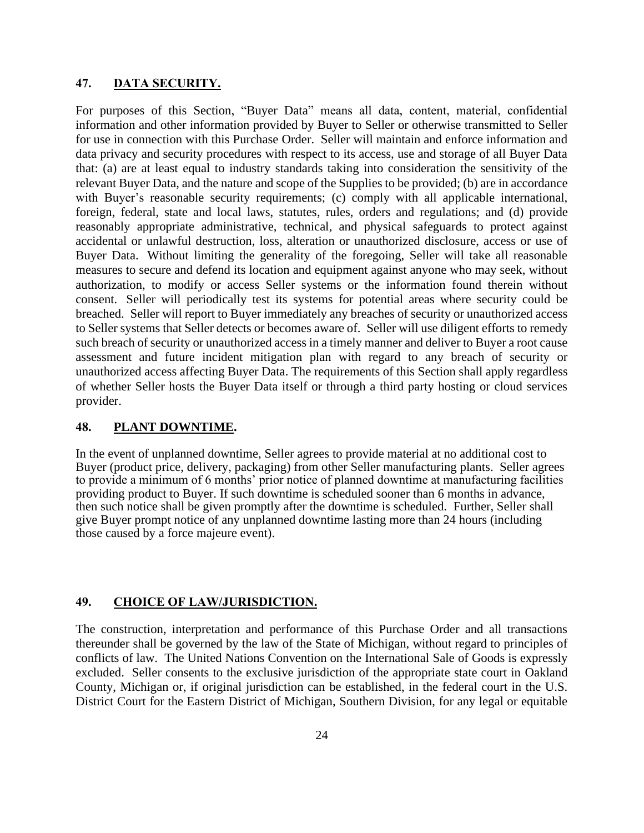#### **47. DATA SECURITY.**

For purposes of this Section, "Buyer Data" means all data, content, material, confidential information and other information provided by Buyer to Seller or otherwise transmitted to Seller for use in connection with this Purchase Order. Seller will maintain and enforce information and data privacy and security procedures with respect to its access, use and storage of all Buyer Data that: (a) are at least equal to industry standards taking into consideration the sensitivity of the relevant Buyer Data, and the nature and scope of the Supplies to be provided; (b) are in accordance with Buyer's reasonable security requirements; (c) comply with all applicable international, foreign, federal, state and local laws, statutes, rules, orders and regulations; and (d) provide reasonably appropriate administrative, technical, and physical safeguards to protect against accidental or unlawful destruction, loss, alteration or unauthorized disclosure, access or use of Buyer Data. Without limiting the generality of the foregoing, Seller will take all reasonable measures to secure and defend its location and equipment against anyone who may seek, without authorization, to modify or access Seller systems or the information found therein without consent. Seller will periodically test its systems for potential areas where security could be breached. Seller will report to Buyer immediately any breaches of security or unauthorized access to Seller systems that Seller detects or becomes aware of. Seller will use diligent efforts to remedy such breach of security or unauthorized access in a timely manner and deliver to Buyer a root cause assessment and future incident mitigation plan with regard to any breach of security or unauthorized access affecting Buyer Data. The requirements of this Section shall apply regardless of whether Seller hosts the Buyer Data itself or through a third party hosting or cloud services provider.

#### **48. PLANT DOWNTIME.**

In the event of unplanned downtime, Seller agrees to provide material at no additional cost to Buyer (product price, delivery, packaging) from other Seller manufacturing plants. Seller agrees to provide a minimum of 6 months' prior notice of planned downtime at manufacturing facilities providing product to Buyer. If such downtime is scheduled sooner than 6 months in advance, then such notice shall be given promptly after the downtime is scheduled. Further, Seller shall give Buyer prompt notice of any unplanned downtime lasting more than 24 hours (including those caused by a force majeure event).

## **49. CHOICE OF LAW/JURISDICTION.**

The construction, interpretation and performance of this Purchase Order and all transactions thereunder shall be governed by the law of the State of Michigan, without regard to principles of conflicts of law. The United Nations Convention on the International Sale of Goods is expressly excluded. Seller consents to the exclusive jurisdiction of the appropriate state court in Oakland County, Michigan or, if original jurisdiction can be established, in the federal court in the U.S. District Court for the Eastern District of Michigan, Southern Division, for any legal or equitable